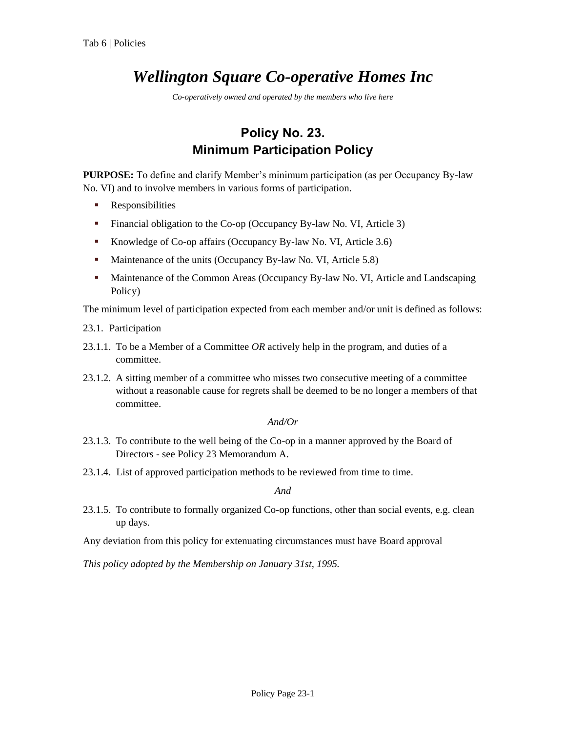# *Wellington Square Co-operative Homes Inc*

*Co-operatively owned and operated by the members who live here*

## **Policy No. 23. Minimum Participation Policy**

**PURPOSE:** To define and clarify Member's minimum participation (as per Occupancy By-law No. VI) and to involve members in various forms of participation.

- **Responsibilities**
- Financial obligation to the Co-op (Occupancy By-law No. VI, Article 3)
- Knowledge of Co-op affairs (Occupancy By-law No. VI, Article 3.6)
- Maintenance of the units (Occupancy By-law No. VI, Article 5.8)
- **Maintenance of the Common Areas (Occupancy By-law No. VI, Article and Landscaping** Policy)

The minimum level of participation expected from each member and/or unit is defined as follows:

- 23.1. Participation
- 23.1.1. To be a Member of a Committee *OR* actively help in the program, and duties of a committee.
- 23.1.2. A sitting member of a committee who misses two consecutive meeting of a committee without a reasonable cause for regrets shall be deemed to be no longer a members of that committee.

#### *And/Or*

- 23.1.3. To contribute to the well being of the Co-op in a manner approved by the Board of Directors - see Policy 23 Memorandum A.
- 23.1.4. List of approved participation methods to be reviewed from time to time.

*And*

- 23.1.5. To contribute to formally organized Co-op functions, other than social events, e.g. clean up days.
- Any deviation from this policy for extenuating circumstances must have Board approval

*This policy adopted by the Membership on January 31st, 1995.*